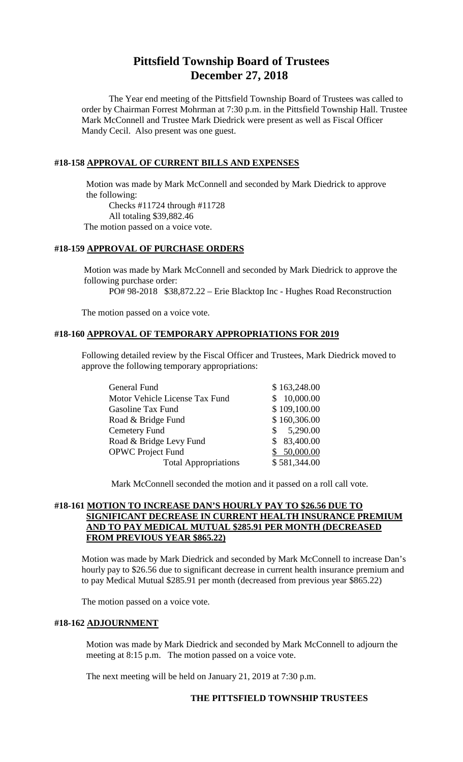# **Pittsfield Township Board of Trustees December 27, 2018**

The Year end meeting of the Pittsfield Township Board of Trustees was called to order by Chairman Forrest Mohrman at 7:30 p.m. in the Pittsfield Township Hall. Trustee Mark McConnell and Trustee Mark Diedrick were present as well as Fiscal Officer Mandy Cecil. Also present was one guest.

### **#18-158 APPROVAL OF CURRENT BILLS AND EXPENSES**

Motion was made by Mark McConnell and seconded by Mark Diedrick to approve the following: Checks #11724 through #11728

All totaling \$39,882.46

The motion passed on a voice vote.

## **#18-159 APPROVAL OF PURCHASE ORDERS**

Motion was made by Mark McConnell and seconded by Mark Diedrick to approve the following purchase order:

PO# 98-2018 \$38,872.22 – Erie Blacktop Inc - Hughes Road Reconstruction

The motion passed on a voice vote.

#### **#18-160 APPROVAL OF TEMPORARY APPROPRIATIONS FOR 2019**

Following detailed review by the Fiscal Officer and Trustees, Mark Diedrick moved to approve the following temporary appropriations:

| General Fund                   | \$163,248.00    |
|--------------------------------|-----------------|
| Motor Vehicle License Tax Fund | 10,000.00<br>S. |
| Gasoline Tax Fund              | \$109,100.00    |
| Road & Bridge Fund             | \$160,306.00    |
| Cemetery Fund                  | \$5,290.00      |
| Road & Bridge Levy Fund        | \$83,400.00     |
| <b>OPWC</b> Project Fund       | \$50,000.00     |
| <b>Total Appropriations</b>    | \$581,344.00    |

Mark McConnell seconded the motion and it passed on a roll call vote.

## **#18-161 MOTION TO INCREASE DAN'S HOURLY PAY TO \$26.56 DUE TO SIGNIFICANT DECREASE IN CURRENT HEALTH INSURANCE PREMIUM AND TO PAY MEDICAL MUTUAL \$285.91 PER MONTH (DECREASED FROM PREVIOUS YEAR \$865.22)**

Motion was made by Mark Diedrick and seconded by Mark McConnell to increase Dan's hourly pay to \$26.56 due to significant decrease in current health insurance premium and to pay Medical Mutual \$285.91 per month (decreased from previous year \$865.22)

The motion passed on a voice vote.

#### **#18-162 ADJOURNMENT**

Motion was made by Mark Diedrick and seconded by Mark McConnell to adjourn the meeting at 8:15 p.m. The motion passed on a voice vote.

The next meeting will be held on January 21, 2019 at 7:30 p.m.

#### **THE PITTSFIELD TOWNSHIP TRUSTEES**